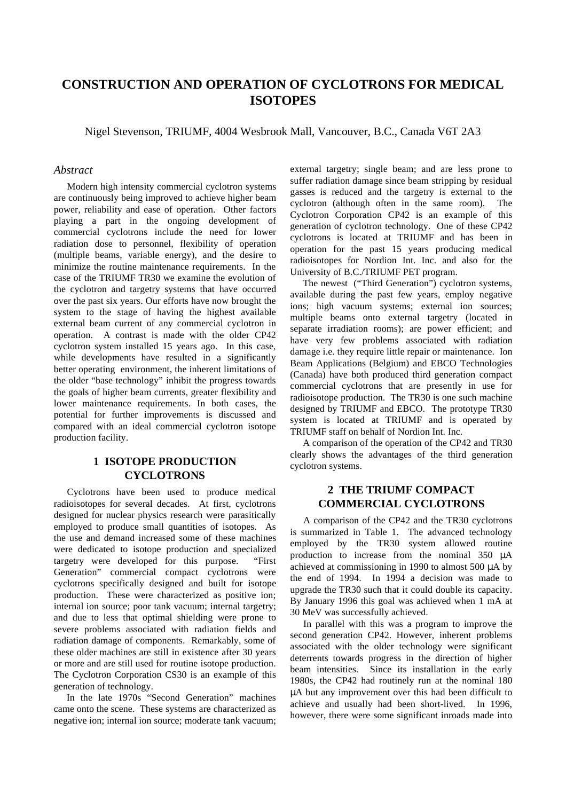# **CONSTRUCTION AND OPERATION OF CYCLOTRONS FOR MEDICAL ISOTOPES**

Nigel Stevenson, TRIUMF, 4004 Wesbrook Mall, Vancouver, B.C., Canada V6T 2A3

#### *Abstract*

Modern high intensity commercial cyclotron systems are continuously being improved to achieve higher beam power, reliability and ease of operation. Other factors playing a part in the ongoing development of commercial cyclotrons include the need for lower radiation dose to personnel, flexibility of operation (multiple beams, variable energy), and the desire to minimize the routine maintenance requirements. In the case of the TRIUMF TR30 we examine the evolution of the cyclotron and targetry systems that have occurred over the past six years. Our efforts have now brought the system to the stage of having the highest available external beam current of any commercial cyclotron in operation. A contrast is made with the older CP42 cyclotron system installed 15 years ago. In this case, while developments have resulted in a significantly better operating environment, the inherent limitations of the older "base technology" inhibit the progress towards the goals of higher beam currents, greater flexibility and lower maintenance requirements. In both cases, the potential for further improvements is discussed and compared with an ideal commercial cyclotron isotope production facility.

# **1 ISOTOPE PRODUCTION CYCLOTRONS**

Cyclotrons have been used to produce medical radioisotopes for several decades. At first, cyclotrons designed for nuclear physics research were parasitically employed to produce small quantities of isotopes. As the use and demand increased some of these machines were dedicated to isotope production and specialized targetry were developed for this purpose. "First Generation" commercial compact cyclotrons were cyclotrons specifically designed and built for isotope production. These were characterized as positive ion; internal ion source; poor tank vacuum; internal targetry; and due to less that optimal shielding were prone to severe problems associated with radiation fields and radiation damage of components. Remarkably, some of these older machines are still in existence after 30 years or more and are still used for routine isotope production. The Cyclotron Corporation CS30 is an example of this generation of technology.

In the late 1970s "Second Generation" machines came onto the scene. These systems are characterized as negative ion; internal ion source; moderate tank vacuum; external targetry; single beam; and are less prone to suffer radiation damage since beam stripping by residual gasses is reduced and the targetry is external to the cyclotron (although often in the same room). The Cyclotron Corporation CP42 is an example of this generation of cyclotron technology. One of these CP42 cyclotrons is located at TRIUMF and has been in operation for the past 15 years producing medical radioisotopes for Nordion Int. Inc. and also for the University of B.C./TRIUMF PET program.

The newest ("Third Generation") cyclotron systems, available during the past few years, employ negative ions; high vacuum systems; external ion sources; multiple beams onto external targetry (located in separate irradiation rooms); are power efficient; and have very few problems associated with radiation damage i.e. they require little repair or maintenance. Ion Beam Applications (Belgium) and EBCO Technologies (Canada) have both produced third generation compact commercial cyclotrons that are presently in use for radioisotope production. The TR30 is one such machine designed by TRIUMF and EBCO. The prototype TR30 system is located at TRIUMF and is operated by TRIUMF staff on behalf of Nordion Int. Inc.

A comparison of the operation of the CP42 and TR30 clearly shows the advantages of the third generation cyclotron systems.

# **2 THE TRIUMF COMPACT COMMERCIAL CYCLOTRONS**

A comparison of the CP42 and the TR30 cyclotrons is summarized in Table 1. The advanced technology employed by the TR30 system allowed routine production to increase from the nominal 350 µA achieved at commissioning in 1990 to almost 500 µA by the end of 1994. In 1994 a decision was made to upgrade the TR30 such that it could double its capacity. By January 1996 this goal was achieved when 1 mA at 30 MeV was successfully achieved.

In parallel with this was a program to improve the second generation CP42. However, inherent problems associated with the older technology were significant deterrents towards progress in the direction of higher beam intensities. Since its installation in the early 1980s, the CP42 had routinely run at the nominal 180 µA but any improvement over this had been difficult to achieve and usually had been short-lived. In 1996, however, there were some significant inroads made into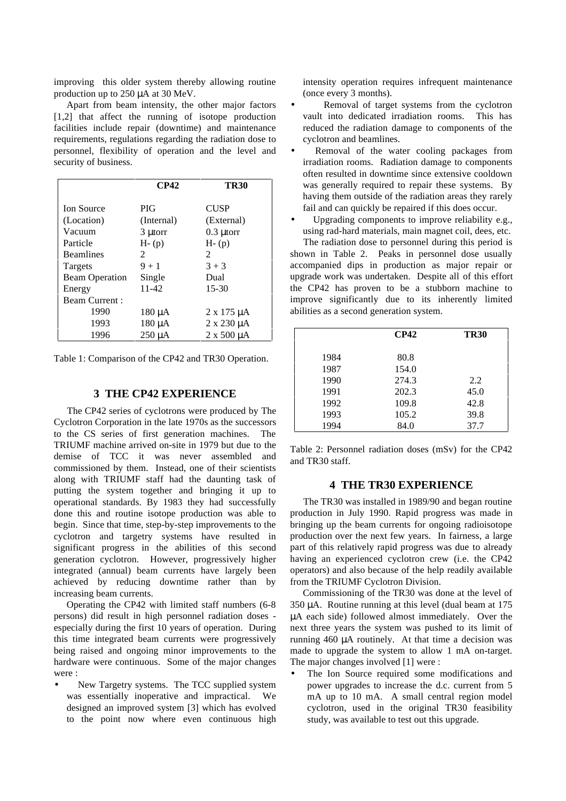improving this older system thereby allowing routine production up to 250 µA at 30 MeV.

Apart from beam intensity, the other major factors [1,2] that affect the running of isotope production facilities include repair (downtime) and maintenance requirements, regulations regarding the radiation dose to personnel, flexibility of operation and the level and security of business.

|                       | CP42        | <b>TR30</b>          |
|-----------------------|-------------|----------------------|
| <b>Ion Source</b>     | <b>PIG</b>  | <b>CUSP</b>          |
| (Location)            | (Internal)  | (External)           |
| Vacuum                | 3 µtorr     | $0.3 \mu$ torr       |
| Particle              | $H - (p)$   | $H - (p)$            |
| <b>Beamlines</b>      | 2           | 2                    |
| Targets               | $9 + 1$     | $3 + 3$              |
| <b>Beam Operation</b> | Single      | Dual                 |
| Energy                | 11-42       | $15 - 30$            |
| <b>Beam Current:</b>  |             |                      |
| 1990                  | $180 \mu A$ | $2 \times 175 \mu A$ |
| 1993                  | 180 µA      | $2 \times 230 \mu A$ |
| 1996                  | 250 µA      | $2 \times 500 \mu A$ |

Table 1: Comparison of the CP42 and TR30 Operation.

### **3 THE CP42 EXPERIENCE**

The CP42 series of cyclotrons were produced by The Cyclotron Corporation in the late 1970s as the successors to the CS series of first generation machines. The TRIUMF machine arrived on-site in 1979 but due to the demise of TCC it was never assembled and commissioned by them. Instead, one of their scientists along with TRIUMF staff had the daunting task of putting the system together and bringing it up to operational standards. By 1983 they had successfully done this and routine isotope production was able to begin. Since that time, step-by-step improvements to the cyclotron and targetry systems have resulted in significant progress in the abilities of this second generation cyclotron. However, progressively higher integrated (annual) beam currents have largely been achieved by reducing downtime rather than by increasing beam currents.

Operating the CP42 with limited staff numbers (6-8 persons) did result in high personnel radiation doses especially during the first 10 years of operation. During this time integrated beam currents were progressively being raised and ongoing minor improvements to the hardware were continuous. Some of the major changes were :

• New Targetry systems. The TCC supplied system was essentially inoperative and impractical. We designed an improved system [3] which has evolved to the point now where even continuous high intensity operation requires infrequent maintenance (once every 3 months).

- Removal of target systems from the cyclotron vault into dedicated irradiation rooms. This has reduced the radiation damage to components of the cyclotron and beamlines.
- Removal of the water cooling packages from irradiation rooms. Radiation damage to components often resulted in downtime since extensive cooldown was generally required to repair these systems. By having them outside of the radiation areas they rarely fail and can quickly be repaired if this does occur.
- Upgrading components to improve reliability e.g., using rad-hard materials, main magnet coil, dees, etc.

The radiation dose to personnel during this period is shown in Table 2. Peaks in personnel dose usually accompanied dips in production as major repair or upgrade work was undertaken. Despite all of this effort the CP42 has proven to be a stubborn machine to improve significantly due to its inherently limited abilities as a second generation system.

|      | CP42  | <b>TR30</b> |
|------|-------|-------------|
| 1984 | 80.8  |             |
| 1987 | 154.0 |             |
| 1990 | 274.3 | 2.2         |
| 1991 | 202.3 | 45.0        |
| 1992 | 109.8 | 42.8        |
| 1993 | 105.2 | 39.8        |
| 1994 | 84.0  | 37.7        |

Table 2: Personnel radiation doses (mSv) for the CP42 and TR30 staff.

### **4 THE TR30 EXPERIENCE**

The TR30 was installed in 1989/90 and began routine production in July 1990. Rapid progress was made in bringing up the beam currents for ongoing radioisotope production over the next few years. In fairness, a large part of this relatively rapid progress was due to already having an experienced cyclotron crew (i.e. the CP42 operators) and also because of the help readily available from the TRIUMF Cyclotron Division.

Commissioning of the TR30 was done at the level of 350 µA. Routine running at this level (dual beam at 175 µA each side) followed almost immediately. Over the next three years the system was pushed to its limit of running 460 µA routinely. At that time a decision was made to upgrade the system to allow 1 mA on-target. The major changes involved [1] were :

The Ion Source required some modifications and power upgrades to increase the d.c. current from 5 mA up to 10 mA. A small central region model cyclotron, used in the original TR30 feasibility study, was available to test out this upgrade.